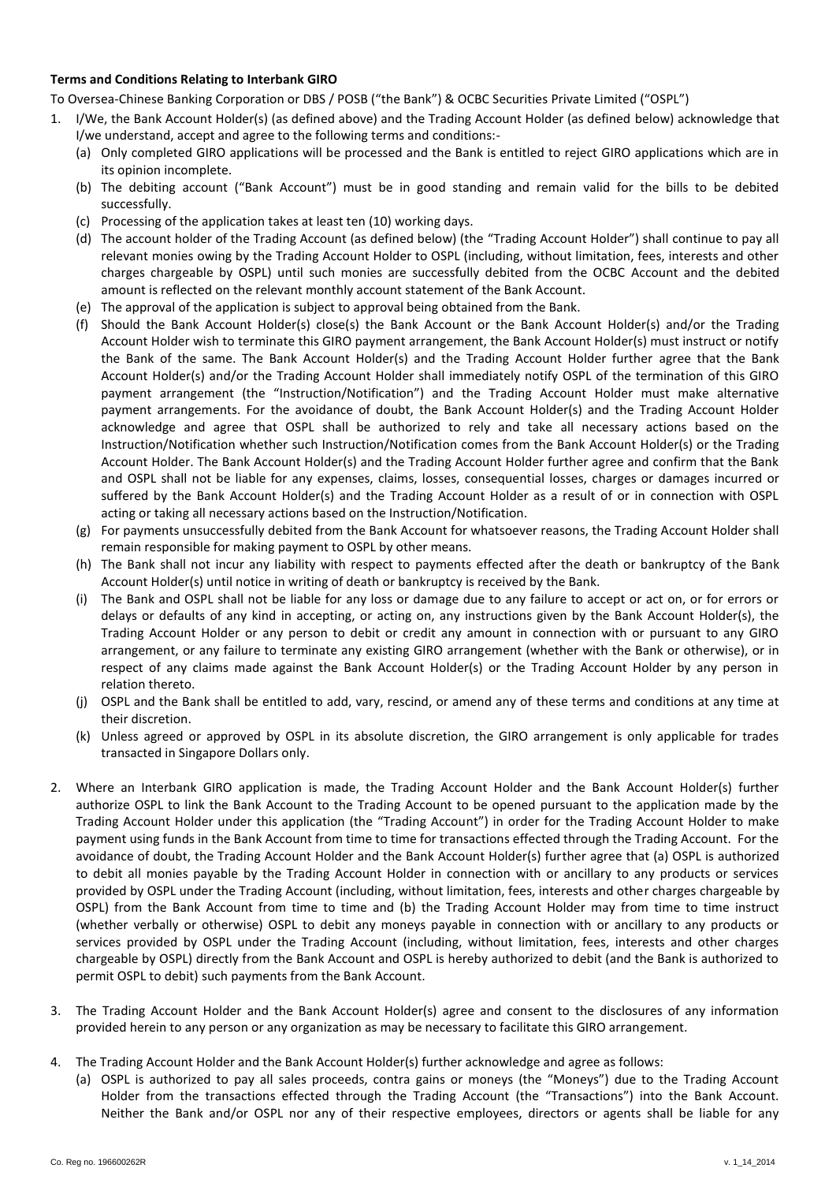## **Terms and Conditions Relating to Interbank GIRO**

To Oversea-Chinese Banking Corporation or DBS / POSB ("the Bank") & OCBC Securities Private Limited ("OSPL")

- 1. I/We, the Bank Account Holder(s) (as defined above) and the Trading Account Holder (as defined below) acknowledge that I/we understand, accept and agree to the following terms and conditions:-
	- (a) Only completed GIRO applications will be processed and the Bank is entitled to reject GIRO applications which are in its opinion incomplete.
	- (b) The debiting account ("Bank Account") must be in good standing and remain valid for the bills to be debited successfully.
	- (c) Processing of the application takes at least ten (10) working days.
	- (d) The account holder of the Trading Account (as defined below) (the "Trading Account Holder") shall continue to pay all relevant monies owing by the Trading Account Holder to OSPL (including, without limitation, fees, interests and other charges chargeable by OSPL) until such monies are successfully debited from the OCBC Account and the debited amount is reflected on the relevant monthly account statement of the Bank Account.
	- (e) The approval of the application is subject to approval being obtained from the Bank.
	- (f) Should the Bank Account Holder(s) close(s) the Bank Account or the Bank Account Holder(s) and/or the Trading Account Holder wish to terminate this GIRO payment arrangement, the Bank Account Holder(s) must instruct or notify the Bank of the same. The Bank Account Holder(s) and the Trading Account Holder further agree that the Bank Account Holder(s) and/or the Trading Account Holder shall immediately notify OSPL of the termination of this GIRO payment arrangement (the "Instruction/Notification") and the Trading Account Holder must make alternative payment arrangements. For the avoidance of doubt, the Bank Account Holder(s) and the Trading Account Holder acknowledge and agree that OSPL shall be authorized to rely and take all necessary actions based on the Instruction/Notification whether such Instruction/Notification comes from the Bank Account Holder(s) or the Trading Account Holder. The Bank Account Holder(s) and the Trading Account Holder further agree and confirm that the Bank and OSPL shall not be liable for any expenses, claims, losses, consequential losses, charges or damages incurred or suffered by the Bank Account Holder(s) and the Trading Account Holder as a result of or in connection with OSPL acting or taking all necessary actions based on the Instruction/Notification.
	- (g) For payments unsuccessfully debited from the Bank Account for whatsoever reasons, the Trading Account Holder shall remain responsible for making payment to OSPL by other means.
	- (h) The Bank shall not incur any liability with respect to payments effected after the death or bankruptcy of the Bank Account Holder(s) until notice in writing of death or bankruptcy is received by the Bank.
	- (i) The Bank and OSPL shall not be liable for any loss or damage due to any failure to accept or act on, or for errors or delays or defaults of any kind in accepting, or acting on, any instructions given by the Bank Account Holder(s), the Trading Account Holder or any person to debit or credit any amount in connection with or pursuant to any GIRO arrangement, or any failure to terminate any existing GIRO arrangement (whether with the Bank or otherwise), or in respect of any claims made against the Bank Account Holder(s) or the Trading Account Holder by any person in relation thereto.
	- (j) OSPL and the Bank shall be entitled to add, vary, rescind, or amend any of these terms and conditions at any time at their discretion.
	- (k) Unless agreed or approved by OSPL in its absolute discretion, the GIRO arrangement is only applicable for trades transacted in Singapore Dollars only.
- 2. Where an Interbank GIRO application is made, the Trading Account Holder and the Bank Account Holder(s) further authorize OSPL to link the Bank Account to the Trading Account to be opened pursuant to the application made by the Trading Account Holder under this application (the "Trading Account") in order for the Trading Account Holder to make payment using funds in the Bank Account from time to time for transactions effected through the Trading Account. For the avoidance of doubt, the Trading Account Holder and the Bank Account Holder(s) further agree that (a) OSPL is authorized to debit all monies payable by the Trading Account Holder in connection with or ancillary to any products or services provided by OSPL under the Trading Account (including, without limitation, fees, interests and other charges chargeable by OSPL) from the Bank Account from time to time and (b) the Trading Account Holder may from time to time instruct (whether verbally or otherwise) OSPL to debit any moneys payable in connection with or ancillary to any products or services provided by OSPL under the Trading Account (including, without limitation, fees, interests and other charges chargeable by OSPL) directly from the Bank Account and OSPL is hereby authorized to debit (and the Bank is authorized to permit OSPL to debit) such payments from the Bank Account.
- 3. The Trading Account Holder and the Bank Account Holder(s) agree and consent to the disclosures of any information provided herein to any person or any organization as may be necessary to facilitate this GIRO arrangement.
- 4. The Trading Account Holder and the Bank Account Holder(s) further acknowledge and agree as follows:
	- (a) OSPL is authorized to pay all sales proceeds, contra gains or moneys (the "Moneys") due to the Trading Account Holder from the transactions effected through the Trading Account (the "Transactions") into the Bank Account. Neither the Bank and/or OSPL nor any of their respective employees, directors or agents shall be liable for any